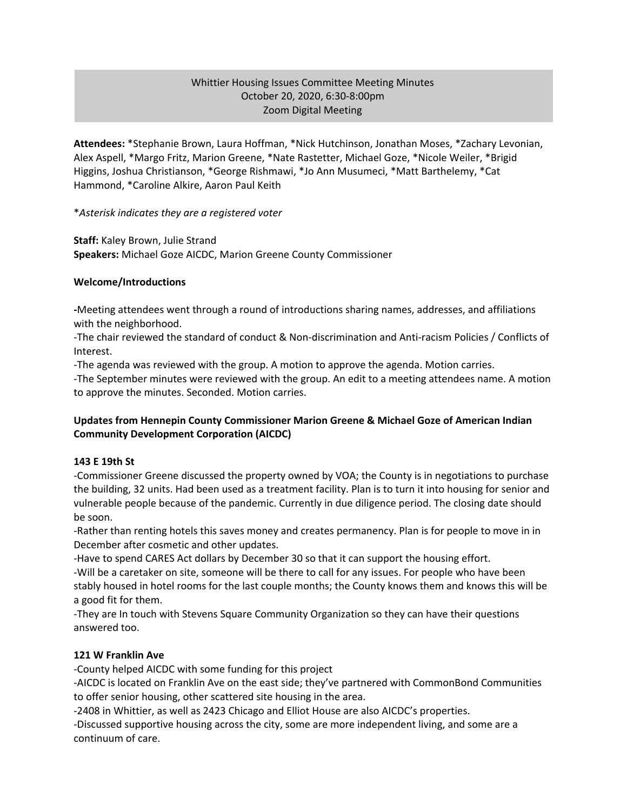## Whittier Housing Issues Committee Meeting Minutes October 20, 2020, 6:30-8:00pm Zoom Digital Meeting

**Attendees:** \*Stephanie Brown, Laura Hoffman, \*Nick Hutchinson, Jonathan Moses, \*Zachary Levonian, Alex Aspell, \*Margo Fritz, Marion Greene, \*Nate Rastetter, Michael Goze, \*Nicole Weiler, \*Brigid Higgins, Joshua Christianson, \*George Rishmawi, \*Jo Ann Musumeci, \*Matt Barthelemy, \*Cat Hammond, \*Caroline Alkire, Aaron Paul Keith

\**Asterisk indicates they are a registered voter*

**Staff:** Kaley Brown, Julie Strand **Speakers:** Michael Goze AICDC, Marion Greene County Commissioner

### **Welcome/Introductions**

**-**Meeting attendees went through a round of introductions sharing names, addresses, and affiliations with the neighborhood.

-The chair reviewed the standard of conduct & Non-discrimination and Anti-racism Policies / Conflicts of Interest.

-The agenda was reviewed with the group. A motion to approve the agenda. Motion carries.

-The September minutes were reviewed with the group. An edit to a meeting attendees name. A motion to approve the minutes. Seconded. Motion carries.

## **Updates from Hennepin County Commissioner Marion Greene & Michael Goze of American Indian Community Development Corporation (AICDC)**

### **143 E 19th St**

-Commissioner Greene discussed the property owned by VOA; the County is in negotiations to purchase the building, 32 units. Had been used as a treatment facility. Plan is to turn it into housing for senior and vulnerable people because of the pandemic. Currently in due diligence period. The closing date should be soon.

-Rather than renting hotels this saves money and creates permanency. Plan is for people to move in in December after cosmetic and other updates.

-Have to spend CARES Act dollars by December 30 so that it can support the housing effort. -Will be a caretaker on site, someone will be there to call for any issues. For people who have been stably housed in hotel rooms for the last couple months; the County knows them and knows this will be a good fit for them.

-They are In touch with Stevens Square Community Organization so they can have their questions answered too.

### **121 W Franklin Ave**

-County helped AICDC with some funding for this project

-AICDC is located on Franklin Ave on the east side; they've partnered with CommonBond Communities to offer senior housing, other scattered site housing in the area.

-2408 in Whittier, as well as 2423 Chicago and Elliot House are also AICDC's properties.

-Discussed supportive housing across the city, some are more independent living, and some are a continuum of care.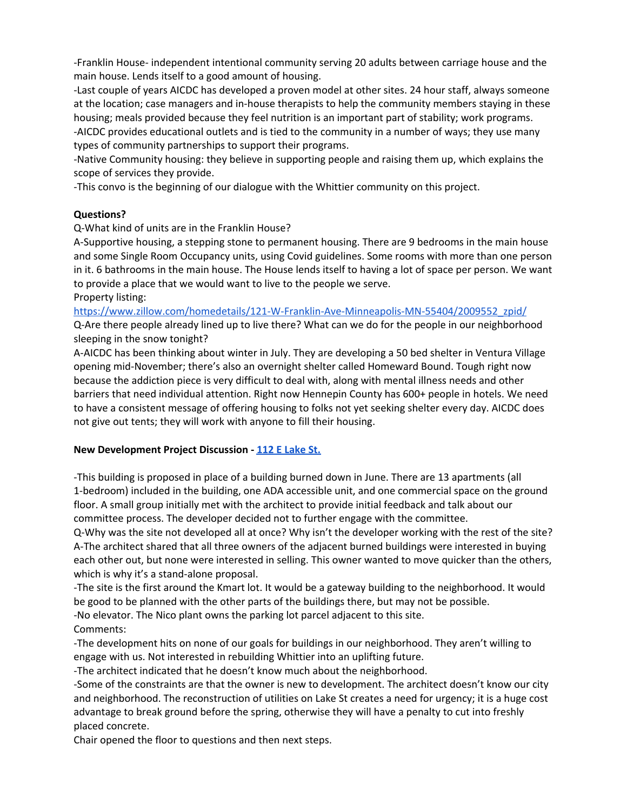-Franklin House- independent intentional community serving 20 adults between carriage house and the main house. Lends itself to a good amount of housing.

-Last couple of years AICDC has developed a proven model at other sites. 24 hour staff, always someone at the location; case managers and in-house therapists to help the community members staying in these housing; meals provided because they feel nutrition is an important part of stability; work programs. -AICDC provides educational outlets and is tied to the community in a number of ways; they use many types of community partnerships to support their programs.

-Native Community housing: they believe in supporting people and raising them up, which explains the scope of services they provide.

-This convo is the beginning of our dialogue with the Whittier community on this project.

### **Questions?**

Q-What kind of units are in the Franklin House?

A-Supportive housing, a stepping stone to permanent housing. There are 9 bedrooms in the main house and some Single Room Occupancy units, using Covid guidelines. Some rooms with more than one person in it. 6 bathrooms in the main house. The House lends itself to having a lot of space per person. We want to provide a place that we would want to live to the people we serve.

Property listing:

[https://www.zillow.com/homedetails/121-W-Franklin-Ave-Minneapolis-MN-55404/2009552\\_zpid/](https://www.zillow.com/homedetails/121-W-Franklin-Ave-Minneapolis-MN-55404/2009552_zpid/)

Q-Are there people already lined up to live there? What can we do for the people in our neighborhood sleeping in the snow tonight?

A-AICDC has been thinking about winter in July. They are developing a 50 bed shelter in Ventura Village opening mid-November; there's also an overnight shelter called Homeward Bound. Tough right now because the addiction piece is very difficult to deal with, along with mental illness needs and other barriers that need individual attention. Right now Hennepin County has 600+ people in hotels. We need to have a consistent message of offering housing to folks not yet seeking shelter every day. AICDC does not give out tents; they will work with anyone to fill their housing.

### **New Development Project Discussion - 112 E [Lake](http://www.whittieralliance.org/new-development-tracker.html) St.**

-This building is proposed in place of a building burned down in June. There are 13 apartments (all 1-bedroom) included in the building, one ADA accessible unit, and one commercial space on the ground floor. A small group initially met with the architect to provide initial feedback and talk about our committee process. The developer decided not to further engage with the committee.

Q-Why was the site not developed all at once? Why isn't the developer working with the rest of the site? A-The architect shared that all three owners of the adjacent burned buildings were interested in buying each other out, but none were interested in selling. This owner wanted to move quicker than the others, which is why it's a stand-alone proposal.

-The site is the first around the Kmart lot. It would be a gateway building to the neighborhood. It would be good to be planned with the other parts of the buildings there, but may not be possible.

-No elevator. The Nico plant owns the parking lot parcel adjacent to this site.

Comments:

-The development hits on none of our goals for buildings in our neighborhood. They aren't willing to engage with us. Not interested in rebuilding Whittier into an uplifting future.

-The architect indicated that he doesn't know much about the neighborhood.

-Some of the constraints are that the owner is new to development. The architect doesn't know our city and neighborhood. The reconstruction of utilities on Lake St creates a need for urgency; it is a huge cost advantage to break ground before the spring, otherwise they will have a penalty to cut into freshly placed concrete.

Chair opened the floor to questions and then next steps.